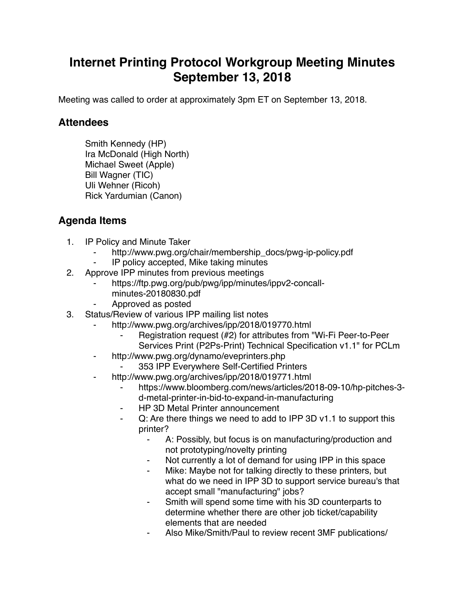## **Internet Printing Protocol Workgroup Meeting Minutes September 13, 2018**

Meeting was called to order at approximately 3pm ET on September 13, 2018.

## **Attendees**

Smith Kennedy (HP) Ira McDonald (High North) Michael Sweet (Apple) Bill Wagner (TIC) Uli Wehner (Ricoh) Rick Yardumian (Canon)

## **Agenda Items**

- 1. IP Policy and Minute Taker
	- http://www.pwg.org/chair/membership\_docs/pwg-ip-policy.pdf
	- IP policy accepted, Mike taking minutes
- 2. Approve IPP minutes from previous meetings
	- https://ftp.pwg.org/pub/pwg/ipp/minutes/ippv2-concallminutes-20180830.pdf
	- ⁃ Approved as posted
- 3. Status/Review of various IPP mailing list notes
	- http://www.pwg.org/archives/ipp/2018/019770.html
		- Registration request (#2) for attributes from "Wi-Fi Peer-to-Peer Services Print (P2Ps-Print) Technical Specification v1.1" for PCLm
	- http://www.pwg.org/dynamo/eveprinters.php
		- 353 IPP Everywhere Self-Certified Printers
	- http://www.pwg.org/archives/ipp/2018/019771.html
		- https://www.bloomberg.com/news/articles/2018-09-10/hp-pitches-3d-metal-printer-in-bid-to-expand-in-manufacturing
		- HP 3D Metal Printer announcement
		- ⁃ Q: Are there things we need to add to IPP 3D v1.1 to support this printer?
			- ⁃ A: Possibly, but focus is on manufacturing/production and not prototyping/novelty printing
			- Not currently a lot of demand for using IPP in this space
			- ⁃ Mike: Maybe not for talking directly to these printers, but what do we need in IPP 3D to support service bureau's that accept small "manufacturing" jobs?
			- Smith will spend some time with his 3D counterparts to determine whether there are other job ticket/capability elements that are needed
			- Also Mike/Smith/Paul to review recent 3MF publications/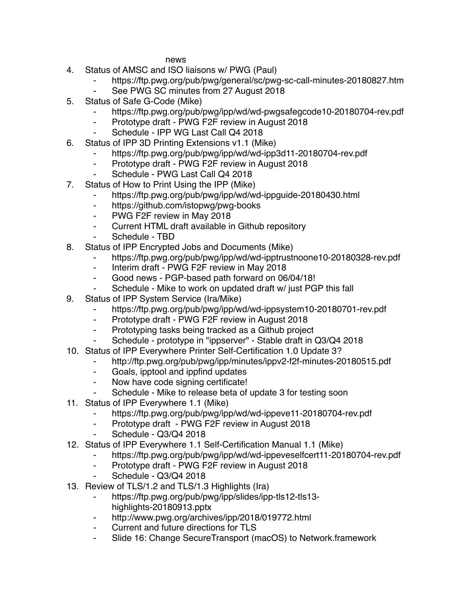news

- 4. Status of AMSC and ISO liaisons w/ PWG (Paul)
	- https://ftp.pwg.org/pub/pwg/general/sc/pwg-sc-call-minutes-20180827.htm
	- See PWG SC minutes from 27 August 2018
- 5. Status of Safe G-Code (Mike)
	- https://ftp.pwg.org/pub/pwg/ipp/wd/wd-pwgsafegcode10-20180704-rev.pdf
	- ⁃ Prototype draft PWG F2F review in August 2018
	- Schedule IPP WG Last Call Q4 2018
- 6. Status of IPP 3D Printing Extensions v1.1 (Mike)
	- https://ftp.pwg.org/pub/pwg/ipp/wd/wd-ipp3d11-20180704-rev.pdf
	- ⁃ Prototype draft PWG F2F review in August 2018
	- Schedule PWG Last Call Q4 2018
- 7. Status of How to Print Using the IPP (Mike)
	- https://ftp.pwg.org/pub/pwg/ipp/wd/wd-ippguide-20180430.html
	- ⁃ https://github.com/istopwg/pwg-books
	- ⁃ PWG F2F review in May 2018
	- ⁃ Current HTML draft available in Github repository
	- Schedule TBD
- 8. Status of IPP Encrypted Jobs and Documents (Mike)
	- https://ftp.pwg.org/pub/pwg/ipp/wd/wd-ipptrustnoone10-20180328-rev.pdf
	- ⁃ Interim draft PWG F2F review in May 2018
	- ⁃ Good news PGP-based path forward on 06/04/18!
	- Schedule Mike to work on updated draft w/ just PGP this fall
- 9. Status of IPP System Service (Ira/Mike)
	- https://ftp.pwg.org/pub/pwg/ipp/wd/wd-ippsystem10-20180701-rev.pdf
	- ⁃ Prototype draft PWG F2F review in August 2018
	- ⁃ Prototyping tasks being tracked as a Github project
	- Schedule prototype in "ippserver" Stable draft in Q3/Q4 2018
- 10. Status of IPP Everywhere Printer Self-Certification 1.0 Update 3?
	- ⁃ http://ftp.pwg.org/pub/pwg/ipp/minutes/ippv2-f2f-minutes-20180515.pdf
		- ⁃ Goals, ipptool and ippfind updates
		- ⁃ Now have code signing certificate!
		- Schedule Mike to release beta of update 3 for testing soon
- 11. Status of IPP Everywhere 1.1 (Mike)
	- ⁃ https://ftp.pwg.org/pub/pwg/ipp/wd/wd-ippeve11-20180704-rev.pdf
	- Prototype draft PWG F2F review in August 2018
	- Schedule Q3/Q4 2018
- 12. Status of IPP Everywhere 1.1 Self-Certification Manual 1.1 (Mike)
	- https://ftp.pwg.org/pub/pwg/ipp/wd/wd-ippeveselfcert11-20180704-rev.pdf
	- ⁃ Prototype draft PWG F2F review in August 2018
	- Schedule Q3/Q4 2018
- 13. Review of TLS/1.2 and TLS/1.3 Highlights (Ira)
	- ⁃ https://ftp.pwg.org/pub/pwg/ipp/slides/ipp-tls12-tls13 highlights-20180913.pptx
	- ⁃ http://www.pwg.org/archives/ipp/2018/019772.html
	- Current and future directions for TLS
	- ⁃ Slide 16: Change SecureTransport (macOS) to Network.framework